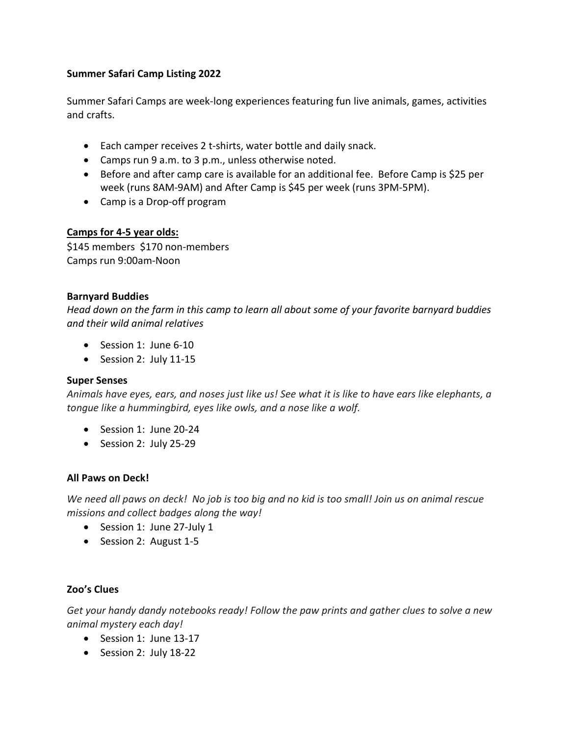### Summer Safari Camp Listing 2022

Summer Safari Camps are week-long experiences featuring fun live animals, games, activities and crafts.

- Each camper receives 2 t-shirts, water bottle and daily snack.
- Camps run 9 a.m. to 3 p.m., unless otherwise noted.
- Before and after camp care is available for an additional fee. Before Camp is \$25 per week (runs 8AM-9AM) and After Camp is \$45 per week (runs 3PM-5PM).
- Camp is a Drop-off program

### Camps for 4-5 year olds:

\$145 members \$170 non-members Camps run 9:00am-Noon

### Barnyard Buddies

Head down on the farm in this camp to learn all about some of your favorite barnyard buddies and their wild animal relatives

- Session 1: June 6-10
- Session 2: July 11-15

# Super Senses

Animals have eyes, ears, and noses just like us! See what it is like to have ears like elephants, a tongue like a hummingbird, eyes like owls, and a nose like a wolf.

- Session 1: June 20-24
- Session 2: July 25-29

# All Paws on Deck!

We need all paws on deck! No job is too big and no kid is too small! Join us on animal rescue missions and collect badges along the way!

- Session 1: June 27-July 1
- Session 2: August 1-5

# Zoo's Clues

Get your handy dandy notebooks ready! Follow the paw prints and gather clues to solve a new animal mystery each day!

- Session 1: June 13-17
- Session 2: July 18-22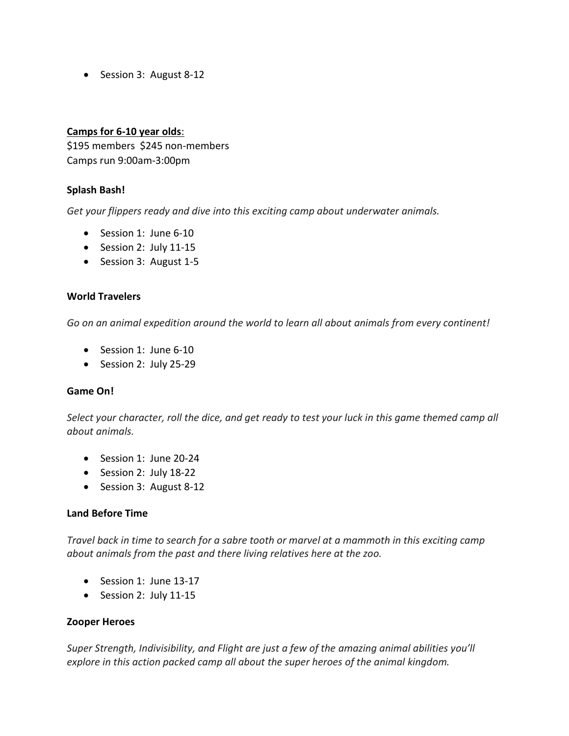• Session 3: August 8-12

### Camps for 6-10 year olds:

\$195 members \$245 non-members Camps run 9:00am-3:00pm

### Splash Bash!

Get your flippers ready and dive into this exciting camp about underwater animals.

- Session 1: June 6-10
- Session 2: July 11-15
- Session 3: August 1-5

#### World Travelers

Go on an animal expedition around the world to learn all about animals from every continent!

- Session 1: June 6-10
- Session 2: July 25-29

#### Game On!

Select your character, roll the dice, and get ready to test your luck in this game themed camp all about animals.

- Session 1: June 20-24
- Session 2: July 18-22
- Session 3: August 8-12

#### Land Before Time

Travel back in time to search for a sabre tooth or marvel at a mammoth in this exciting camp about animals from the past and there living relatives here at the zoo.

- Session 1: June 13-17
- Session 2: July 11-15

#### Zooper Heroes

Super Strength, Indivisibility, and Flight are just a few of the amazing animal abilities you'll explore in this action packed camp all about the super heroes of the animal kingdom.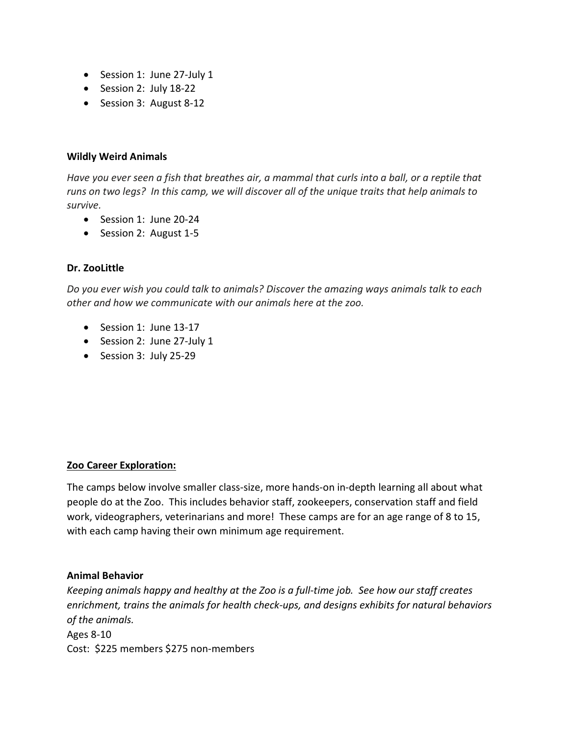- Session 1: June 27-July 1
- Session 2: July 18-22
- Session 3: August 8-12

#### Wildly Weird Animals

Have you ever seen a fish that breathes air, a mammal that curls into a ball, or a reptile that runs on two legs? In this camp, we will discover all of the unique traits that help animals to survive.

- Session 1: June 20-24
- Session 2: August 1-5

### Dr. ZooLittle

Do you ever wish you could talk to animals? Discover the amazing ways animals talk to each other and how we communicate with our animals here at the zoo.

- Session 1: June 13-17
- Session 2: June 27-July 1
- Session 3: July 25-29

#### Zoo Career Exploration:

The camps below involve smaller class-size, more hands-on in-depth learning all about what people do at the Zoo. This includes behavior staff, zookeepers, conservation staff and field work, videographers, veterinarians and more! These camps are for an age range of 8 to 15, with each camp having their own minimum age requirement.

#### Animal Behavior

Keeping animals happy and healthy at the Zoo is a full-time job. See how our staff creates enrichment, trains the animals for health check-ups, and designs exhibits for natural behaviors of the animals.

Ages 8-10 Cost: \$225 members \$275 non-members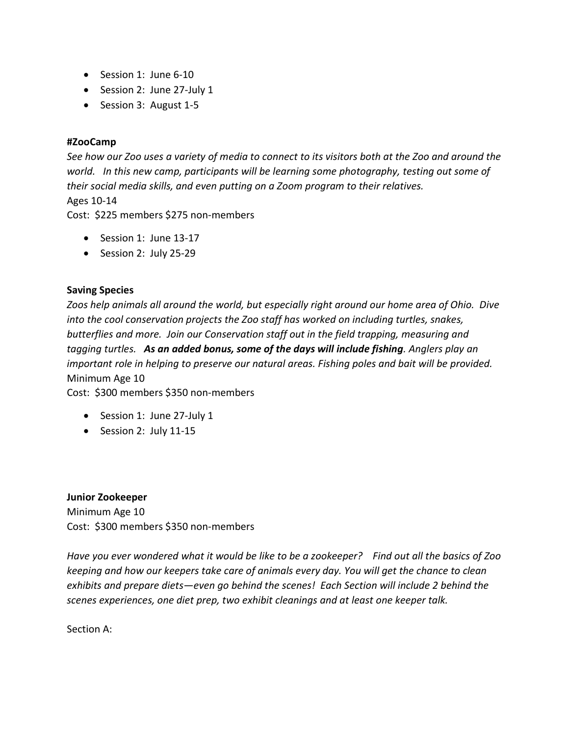- Session 1: June 6-10
- Session 2: June 27-July 1
- Session 3: August 1-5

### #ZooCamp

See how our Zoo uses a variety of media to connect to its visitors both at the Zoo and around the world. In this new camp, participants will be learning some photography, testing out some of their social media skills, and even putting on a Zoom program to their relatives. Ages 10-14

Cost: \$225 members \$275 non-members

- $\bullet$  Session 1: June 13-17
- Session 2: July 25-29

# Saving Species

Zoos help animals all around the world, but especially right around our home area of Ohio. Dive into the cool conservation projects the Zoo staff has worked on including turtles, snakes, butterflies and more. Join our Conservation staff out in the field trapping, measuring and tagging turtles. As an added bonus, some of the days will include fishing. Anglers play an important role in helping to preserve our natural areas. Fishing poles and bait will be provided. Minimum Age 10

Cost: \$300 members \$350 non-members

- Session 1: June 27-July 1
- Session 2: July 11-15

#### Junior Zookeeper

Minimum Age 10 Cost: \$300 members \$350 non-members

Have you ever wondered what it would be like to be a zookeeper? Find out all the basics of Zoo keeping and how our keepers take care of animals every day. You will get the chance to clean exhibits and prepare diets—even go behind the scenes! Each Section will include 2 behind the scenes experiences, one diet prep, two exhibit cleanings and at least one keeper talk.

Section A: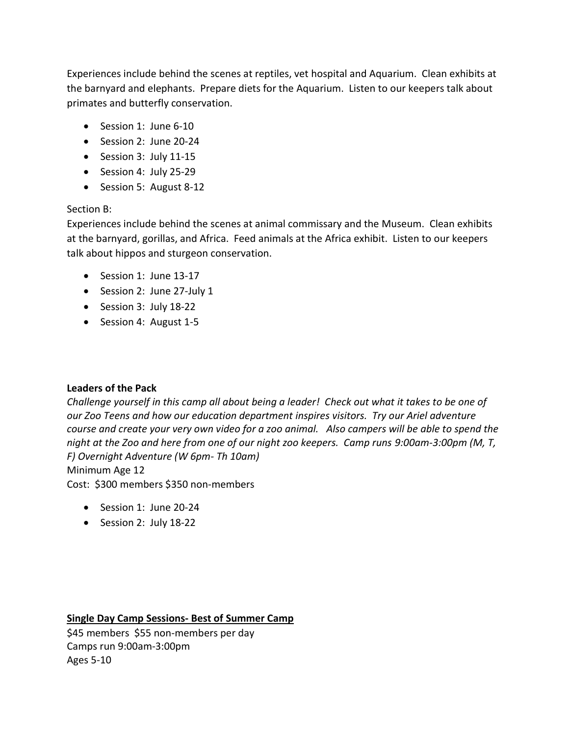Experiences include behind the scenes at reptiles, vet hospital and Aquarium. Clean exhibits at the barnyard and elephants. Prepare diets for the Aquarium. Listen to our keepers talk about primates and butterfly conservation.

- $\bullet$  Session 1: June 6-10
- Session 2: June 20-24
- Session 3: July 11-15
- Session 4: July 25-29
- Session 5: August 8-12

# Section B:

Experiences include behind the scenes at animal commissary and the Museum. Clean exhibits at the barnyard, gorillas, and Africa. Feed animals at the Africa exhibit. Listen to our keepers talk about hippos and sturgeon conservation.

- Session 1: June 13-17
- Session 2: June 27-July 1
- Session 3: July 18-22
- Session 4: August 1-5

# Leaders of the Pack

Challenge yourself in this camp all about being a leader! Check out what it takes to be one of our Zoo Teens and how our education department inspires visitors. Try our Ariel adventure course and create your very own video for a zoo animal. Also campers will be able to spend the night at the Zoo and here from one of our night zoo keepers. Camp runs 9:00am-3:00pm (M, T, F) Overnight Adventure (W 6pm- Th 10am)

## Minimum Age 12

Cost: \$300 members \$350 non-members

- Session 1: June 20-24
- Session 2: July 18-22

#### Single Day Camp Sessions- Best of Summer Camp

\$45 members \$55 non-members per day Camps run 9:00am-3:00pm Ages 5-10